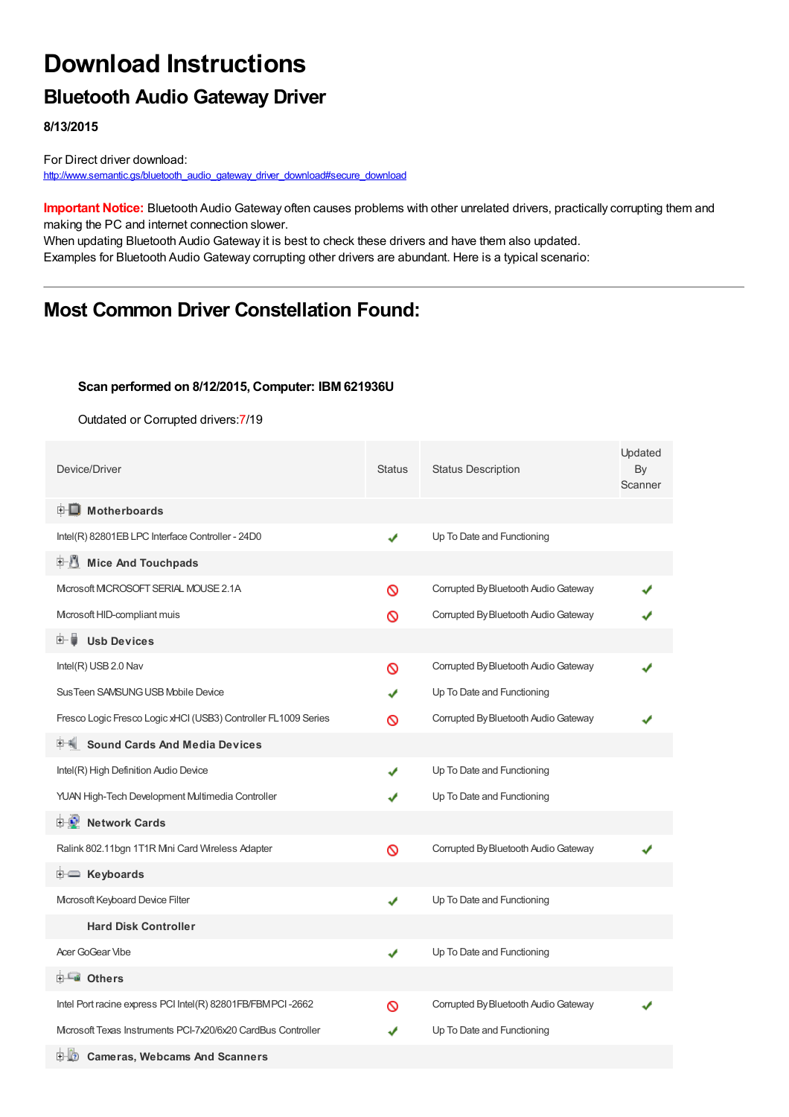# **Download Instructions**

### **Bluetooth Audio Gateway Driver**

**8/13/2015**

For Direct driver download: [http://www.semantic.gs/bluetooth\\_audio\\_gateway\\_driver\\_download#secure\\_download](http://www.semantic.gs/bluetooth_audio_gateway_driver_download#secure_download)

**Important Notice:** Bluetooth Audio Gateway often causes problems with other unrelated drivers, practically corrupting them and making the PC and internet connection slower.

When updating Bluetooth Audio Gateway it is best to check these drivers and have them also updated. Examples for Bluetooth Audio Gateway corrupting other drivers are abundant. Here is a typical scenario:

## **Most Common Driver Constellation Found:**

#### **Scan performed on 8/12/2015, Computer: IBM 621936U**

Outdated or Corrupted drivers:7/19

| Device/Driver                                                  | <b>Status</b> | <b>Status Description</b>            | Updated<br>By<br>Scanner |
|----------------------------------------------------------------|---------------|--------------------------------------|--------------------------|
| <b>E</b> Motherboards                                          |               |                                      |                          |
| Intel(R) 82801EB LPC Interface Controller - 24D0               | ✔             | Up To Date and Functioning           |                          |
| <b>Mice And Touchpads</b><br>E N                               |               |                                      |                          |
| Microsoft MCROSOFT SERIAL MOUSE 2.1A                           | Ø             | Corrupted By Bluetooth Audio Gateway |                          |
| Mcrosoft HID-compliant muis                                    | ∾             | Corrupted By Bluetooth Audio Gateway |                          |
| <b>Usb Devices</b><br>田一章                                      |               |                                      |                          |
| Intel(R) USB 2.0 Nav                                           | ര             | Corrupted By Bluetooth Audio Gateway |                          |
| Sus Teen SAMSUNG USB Mobile Device                             |               | Up To Date and Functioning           |                          |
| Fresco Logic Fresco Logic xHCl (USB3) Controller FL1009 Series | ര             | Corrupted By Bluetooth Audio Gateway |                          |
| <b>Sound Cards And Media Devices</b>                           |               |                                      |                          |
| Intel(R) High Definition Audio Device                          | J             | Up To Date and Functioning           |                          |
| YUAN High-Tech Development Multimedia Controller               |               | Up To Date and Functioning           |                          |
| <b>E-2</b> Network Cards                                       |               |                                      |                          |
| Ralink 802.11bgn 1T1R Mini Card Wireless Adapter               | Ø             | Corrupted By Bluetooth Audio Gateway |                          |
| E Keyboards                                                    |               |                                      |                          |
| Mcrosoft Keyboard Device Filter                                | ✔             | Up To Date and Functioning           |                          |
| <b>Hard Disk Controller</b>                                    |               |                                      |                          |
| Acer GoGear Vibe                                               | ✔             | Up To Date and Functioning           |                          |
| <b>E</b> Others                                                |               |                                      |                          |
| Intel Port racine express PCI Intel(R) 82801FB/FBMPCI-2662     | Ø             | Corrupted By Bluetooth Audio Gateway |                          |
| Microsoft Texas Instruments PCI-7x20/6x20 CardBus Controller   |               | Up To Date and Functioning           |                          |
| 田山の<br><b>Cameras, Webcams And Scanners</b>                    |               |                                      |                          |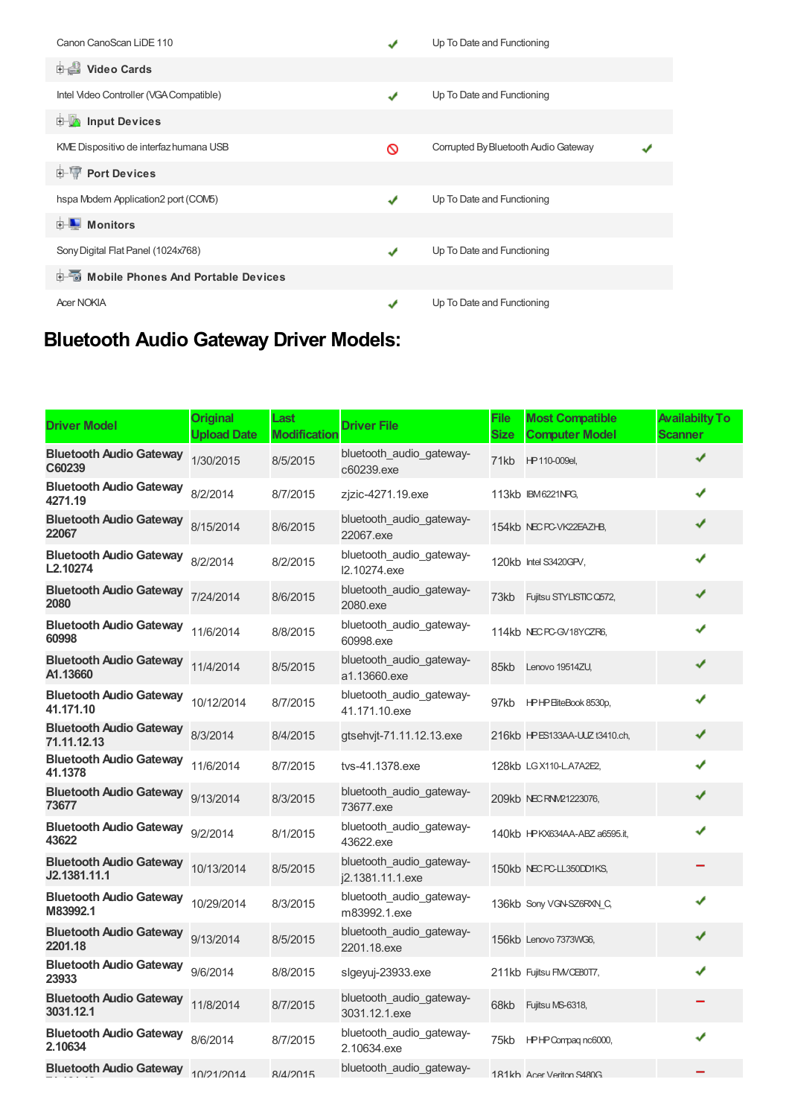| Canon CanoScan LiDE 110                       |   | Up To Date and Functioning           |  |
|-----------------------------------------------|---|--------------------------------------|--|
| <b>Dideo Cards</b>                            |   |                                      |  |
| Intel Video Controller (VGA Compatible)       | ✔ | Up To Date and Functioning           |  |
| <b>E</b> Input Devices                        |   |                                      |  |
| KME Dispositivo de interfaz humana USB        | ∾ | Corrupted By Bluetooth Audio Gateway |  |
| <b>E-TP</b> Port Devices                      |   |                                      |  |
| hspa Modem Application2 port (COM5)           | J | Up To Date and Functioning           |  |
| Monitors<br>由                                 |   |                                      |  |
| Sony Digital Flat Panel (1024x768)            |   | Up To Date and Functioning           |  |
| <b>E-6</b> Mobile Phones And Portable Devices |   |                                      |  |
| <b>Acer NOKIA</b>                             |   | Up To Date and Functioning           |  |

## **Bluetooth Audio Gateway Driver Models:**

| <b>Driver Model</b>                            | <b>Original</b><br><b>Upload Date</b> | Last<br><b>Modificatior</b> | <b>Driver File</b>                           | File<br><b>Size</b> | <b>Most Compatible</b><br><b>Computer Model</b> | <b>Availabilty To</b><br><b>Scanner</b> |
|------------------------------------------------|---------------------------------------|-----------------------------|----------------------------------------------|---------------------|-------------------------------------------------|-----------------------------------------|
| <b>Bluetooth Audio Gateway</b><br>C60239       | 1/30/2015                             | 8/5/2015                    | bluetooth_audio_gateway-<br>c60239.exe       | 71kb                | HP 110-009el,                                   | ✔                                       |
| <b>Bluetooth Audio Gateway</b><br>4271.19      | 8/2/2014                              | 8/7/2015                    | zjzic-4271.19.exe                            |                     | 113kb IBM6221NPG,                               | ✔                                       |
| <b>Bluetooth Audio Gateway</b><br>22067        | 8/15/2014                             | 8/6/2015                    | bluetooth_audio_gateway-<br>22067.exe        |                     | 154kb NEC PC-VK22EAZHB,                         | ✔                                       |
| <b>Bluetooth Audio Gateway</b><br>L2.10274     | 8/2/2014                              | 8/2/2015                    | bluetooth_audio_gateway-<br>12.10274.exe     |                     | 120kb Intel S3420GPV,                           | ✔                                       |
| <b>Bluetooth Audio Gateway</b><br>2080         | 7/24/2014                             | 8/6/2015                    | bluetooth audio gateway-<br>2080.exe         | 73kb                | Fujitsu STYLISTIC Q572,                         | ✔                                       |
| <b>Bluetooth Audio Gateway</b><br>60998        | 11/6/2014                             | 8/8/2015                    | bluetooth_audio_gateway-<br>60998.exe        |                     | 114kb NEC PC-GV18YCZR6,                         | ✔                                       |
| <b>Bluetooth Audio Gateway</b><br>A1.13660     | 11/4/2014                             | 8/5/2015                    | bluetooth_audio_gateway-<br>a1.13660.exe     | 85kb                | Lenovo 19514ZU,                                 |                                         |
| <b>Bluetooth Audio Gateway</b><br>41.171.10    | 10/12/2014                            | 8/7/2015                    | bluetooth audio gateway-<br>41.171.10.exe    | 97kb                | HPHP EliteBook 8530p,                           |                                         |
| <b>Bluetooth Audio Gateway</b><br>71.11.12.13  | 8/3/2014                              | 8/4/2015                    | gtsehvjt-71.11.12.13.exe                     |                     | 216kb HPES133AA-ULZ t3410.ch,                   | ✔                                       |
| <b>Bluetooth Audio Gateway</b><br>41.1378      | 11/6/2014                             | 8/7/2015                    | tys-41.1378.exe                              |                     | 128kb LGX110-L.A7A2E2,                          |                                         |
| <b>Bluetooth Audio Gateway</b><br>73677        | 9/13/2014                             | 8/3/2015                    | bluetooth_audio_gateway-<br>73677.exe        |                     | 209kb NEC RNM21223076,                          | ✔                                       |
| <b>Bluetooth Audio Gateway</b><br>43622        | 9/2/2014                              | 8/1/2015                    | bluetooth audio gateway-<br>43622.exe        |                     | 140kb HPKX634AA-ABZ a6595.it,                   | ✔                                       |
| <b>Bluetooth Audio Gateway</b><br>J2.1381.11.1 | 10/13/2014                            | 8/5/2015                    | bluetooth audio gateway-<br>j2.1381.11.1.exe |                     | 150kb NEC PC-LL350DD1KS,                        |                                         |
| <b>Bluetooth Audio Gateway</b><br>M83992.1     | 10/29/2014                            | 8/3/2015                    | bluetooth_audio_gateway-<br>m83992.1.exe     |                     | 136kb Sony VGN-SZ6RXN C,                        |                                         |
| <b>Bluetooth Audio Gateway</b><br>2201.18      | 9/13/2014                             | 8/5/2015                    | bluetooth_audio_gateway-<br>2201.18.exe      |                     | 156kb Lenovo 7373WG6,                           |                                         |
| <b>Bluetooth Audio Gateway</b><br>23933        | 9/6/2014                              | 8/8/2015                    | slgeyuj-23933.exe                            |                     | 211kb Fujitsu FMVCE80T7,                        |                                         |
| <b>Bluetooth Audio Gateway</b><br>3031.12.1    | 11/8/2014                             | 8/7/2015                    | bluetooth_audio_gateway-<br>3031.12.1.exe    | 68kb                | Fujitsu MS-6318,                                |                                         |
| <b>Bluetooth Audio Gateway</b><br>2.10634      | 8/6/2014                              | 8/7/2015                    | bluetooth audio gateway-<br>2.10634.exe      | 75kb                | HPHP Compagnc6000,                              |                                         |
| <b>Bluetooth Audio Gateway</b>                 | 10/21/2014                            | 8/4/2015                    | bluetooth audio gateway-                     |                     | 181kh Acer Veriton S480G                        |                                         |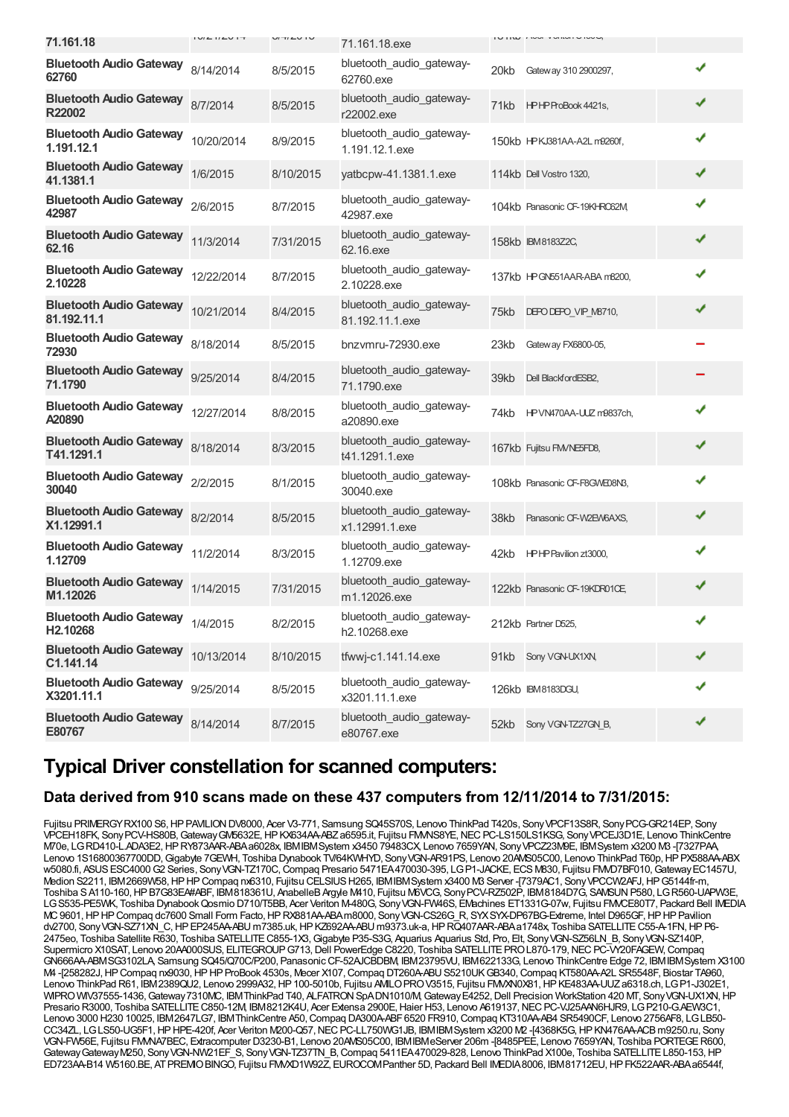| 71.161.18                                     | $1 \cup I \subseteq I / \subseteq I \cup I$ | U/T/LU    | 71.161.18.exe                               |      | IUIIW ING VUINIUTUU           |   |  |
|-----------------------------------------------|---------------------------------------------|-----------|---------------------------------------------|------|-------------------------------|---|--|
| <b>Bluetooth Audio Gateway</b><br>62760       | 8/14/2014                                   | 8/5/2015  | bluetooth_audio_gateway-<br>62760.exe       | 20kb | Gateway 310 2900297,          | ✔ |  |
| <b>Bluetooth Audio Gateway</b><br>R22002      | 8/7/2014                                    | 8/5/2015  | bluetooth_audio_gateway-<br>r22002.exe      |      | 71kb HPHPProBook 4421s,       | ✔ |  |
| <b>Bluetooth Audio Gateway</b><br>1.191.12.1  | 10/20/2014                                  | 8/9/2015  | bluetooth_audio_gateway-<br>1.191.12.1.exe  |      | 150kb HPKJ381AA-A2L m9260f,   | ✔ |  |
| <b>Bluetooth Audio Gateway</b><br>41.1381.1   | 1/6/2015                                    | 8/10/2015 | yatbcpw-41.1381.1.exe                       |      | 114kb Dell Vostro 1320,       | ✔ |  |
| <b>Bluetooth Audio Gateway</b><br>42987       | 2/6/2015                                    | 8/7/2015  | bluetooth_audio_gateway-<br>42987.exe       |      | 104kb Panasonic CF-19KHRO62M  | ✔ |  |
| <b>Bluetooth Audio Gateway</b><br>62.16       | 11/3/2014                                   | 7/31/2015 | bluetooth_audio_gateway-<br>62.16.exe       |      | 158kb IBM8183Z2C,             | ✔ |  |
| <b>Bluetooth Audio Gateway</b><br>2.10228     | 12/22/2014                                  | 8/7/2015  | bluetooth_audio_gateway-<br>2.10228.exe     |      | 137kb HPGN551AAR-ABA m8200,   | ✔ |  |
| <b>Bluetooth Audio Gateway</b><br>81.192.11.1 | 10/21/2014                                  | 8/4/2015  | bluetooth_audio_gateway-<br>81.192.11.1.exe | 75kb | DEPO DEPO_VIP_M8710,          | ✔ |  |
| <b>Bluetooth Audio Gateway</b><br>72930       | 8/18/2014                                   | 8/5/2015  | bnzymru-72930.exe                           | 23kb | Gateway FX6800-05,            |   |  |
| <b>Bluetooth Audio Gateway</b><br>71.1790     | 9/25/2014                                   | 8/4/2015  | bluetooth_audio_gateway-<br>71.1790.exe     | 39kb | Dell BlackfordESB2,           |   |  |
| <b>Bluetooth Audio Gateway</b><br>A20890      | 12/27/2014                                  | 8/8/2015  | bluetooth_audio_gateway-<br>a20890.exe      | 74kb | HPVN470AA-UUZ m9837ch,        | ✔ |  |
| <b>Bluetooth Audio Gateway</b><br>T41.1291.1  | 8/18/2014                                   | 8/3/2015  | bluetooth_audio_gateway-<br>t41.1291.1.exe  |      | 167kb Fujitsu FM/NE5FD8,      | ✔ |  |
| <b>Bluetooth Audio Gateway</b><br>30040       | 2/2/2015                                    | 8/1/2015  | bluetooth_audio_gateway-<br>30040.exe       |      | 108kb Panasonic CF-F8GWE08N3, | ✔ |  |
| <b>Bluetooth Audio Gateway</b><br>X1.12991.1  | 8/2/2014                                    | 8/5/2015  | bluetooth_audio_gateway-<br>x1.12991.1.exe  | 38kb | Panasonic CF-W2EW6AXS,        | ✔ |  |
| <b>Bluetooth Audio Gateway</b><br>1.12709     | 11/2/2014                                   | 8/3/2015  | bluetooth_audio_gateway-<br>1.12709.exe     |      | 42kb HPHP Pavilion zt3000,    | ✔ |  |
| <b>Bluetooth Audio Gateway</b><br>M1.12026    | 1/14/2015                                   | 7/31/2015 | bluetooth_audio_gateway-<br>m1.12026.exe    |      | 122kb Panasonic CF-19KDR01CE, | ✔ |  |
| <b>Bluetooth Audio Gateway</b><br>H2.10268    | 1/4/2015                                    | 8/2/2015  | bluetooth_audio_gateway-<br>h2.10268.exe    |      | 212kb Partner D525,           | ✔ |  |
| <b>Bluetooth Audio Gateway</b><br>C1.141.14   | 10/13/2014                                  | 8/10/2015 | tfwwj-c1.141.14.exe                         |      | 91kb Sony VGN-UX1XN,          | ✔ |  |
| <b>Bluetooth Audio Gateway</b><br>X3201.11.1  | 9/25/2014                                   | 8/5/2015  | bluetooth audio gateway-<br>x3201.11.1.exe  |      | 126kb IBM8183DGU,             |   |  |
| <b>Bluetooth Audio Gateway</b><br>E80767      | 8/14/2014                                   | 8/7/2015  | bluetooth_audio_gateway-<br>e80767.exe      |      | 52kb Sony VGN-TZ27GN_B,       | ✔ |  |
|                                               |                                             |           |                                             |      |                               |   |  |

### **Typical Driver constellation for scanned computers:**

#### **Data derived from 910 scans made on these 437 computers from 12/11/2014 to 7/31/2015:**

Fujitsu PRIMERGY RX100 S6, HP PAVILION DV8000, Acer V3-771, Samsung SQ45S70S, Lenovo ThinkPad T420s, Sony VPCF13S8R, Sony PCG-GR214EP, Sony VPCEH18FK, SonyPCV-HS80B,GatewayGM5632E,HPKX634AA-ABZa6595.it, Fujitsu FMVNS8YE,NECPC-LS150LS1KSG, SonyVPCEJ3D1E, Lenovo ThinkCentre M70e, LGRD410-L.ADA3E2,HPRY873AAR-ABAa6028x, IBMIBMSystem x3450 79483CX, Lenovo 7659YAN, SonyVPCZ23M9E, IBMSystem x3200 M3 -[7327PAA, Lenovo 1S16800367700DD, Gigabyte 7GEWH, Toshiba Dynabook TV/64KWHYD, Sony VGN-AR91PS, Lenovo 20AWS05C00, Lenovo ThinkPad T60p, HP PX588AA-ABX w5080.fi, ASUS ESC4000 G2 Series, Sony VGN-TZ170C, Compaq Presario 5471EA470030-395, LGP1-JACKE, ECS M830, Fujitsu FMVD7BF010, Gateway EC1457U, Medion S2211, IBM2669W58,HPHPCompaq nx6310, Fujitsu CELSIUSH265, IBMIBMSystem x3400 M3 Server -[7379AC1, SonyVPCCW2AFJ,HPG5144fr-m, Toshiba S A110-160, HP B7G83EA#ABF, IBM818361U, AnabelleB Argyle M410, Fujitsu M6VCG, Sony PCV-RZ502P, IBM8184D7G, SAMSUN P580, LG R560-UAPW3E, LGS535-PE5WK, Toshiba DynabookQosmio D710/T5BB, Acer Veriton M-480G, SonyVGN-FW46S, EMachines ET1331G-07w, Fujitsu FMVCE80T7, Packard Bell IMEDIA MC9601,HPHPCompaq dc7600 Small Form Facto,HPRX881AA-ABAm8000, SonyVGN-CS26G\_R, SYXSYX-DP67BG-Extreme, Intel D965GF,HPHPPavilion dv2700, SonyVGN-SZ71XN\_C,HPEP245AA-ABU m7385.uk,HPKZ692AA-ABU m9373.uk-a,HPRQ407AAR-ABAa1748x, Toshiba SATELLITEC55-A-1FN,HPP6- 2475eo, Toshiba Satellite R630, Toshiba SATELLITEC855-1X3,Gigabyte P35-S3G, Aquarius Aquarius Std, Pro, Elt, SonyVGN-SZ56LN\_B, SonyVGN-SZ140P, Supermicro X10SAT, Lenovo 20AA000SUS, ELITEGROUP G713, Dell PowerEdge C8220, Toshiba SATELLITE PRO L870-179, NEC PC-VY20FAGEW, Compaq GN666AA-ABMSG3102LA, Samsung SQ45/Q70C/P200, PanasonicCF-52AJCBDBM, IBM23795VU, IBM622133G, Lenovo ThinkCentre Edge 72, IBMIBMSystem X3100 M4 -[258282J,HPCompaq nx9030,HPHPProBook 4530s, Mecer X107,Compaq DT260A-ABUS5210UKGB340,Compaq KT580AA-A2L SR5548F, Biostar TA960, Lenovo ThinkPad R61, IBM2389QU2, Lenovo 2999A32,HP100-5010b, Fujitsu AMILOPROV3515, Fujitsu FMVXN0X81,HPKE483AA-UUZa6318.ch, LGP1-J302E1, WIPRO WIV37555-1436, Gateway 7310MC, IBM ThinkPad T40, ALFATRON SpADN1010/M, Gateway E4252, Dell Precision WorkStation 420 MT, Sony VGN-UX1XN, HP Presario R3000, Toshiba SATELLITE C850-12M, IBM8212K4U, Acer Extensa 2900E, Haier H53, Lenovo A619137, NEC PC-VJ25AAN6HJR9, LG P210-G.AEW3C1, Lenovo 3000 H230 10025, IBM2647LG7, IBMThinkCentre A50,Compaq DA300A-ABF6520 FR910,Compaq KT310AA-AB4 SR5490CF, Lenovo 2756AF8, LGLB50- CC34ZL, LGLS50-UG5F1, HPHPE-420f, Acer Veriton M200-Q57, NEC PC-LL750WG1JB, IBMIBMSystem x3200 M2 -[4368K5G, HPKN476AA-ACB m9250.ru, Sony VGN-FW56E, Fujitsu FMVNA7BEC, Extracomputer D3230-B1, Lenovo 20AMS05C00, IBMIBMeServer 206m -[8485PEE, Lenovo 7659YAN, Toshiba PORTEGER600, Gateway Gateway M250, Sony VGN-NW21EF S, Sony VGN-TZ37TN\_B, Compaq 5411EA470029-828, Lenovo ThinkPad X100e, Toshiba SATELLITE L850-153, HP ED723AA-B14 W5160.BE, ATPREMIOBINGO, Fujitsu FMVXD1W92Z, EUROCOMPanther 5D, Packard Bell IMEDIA8006, IBM81712EU,HPFK522AAR-ABAa6544f,